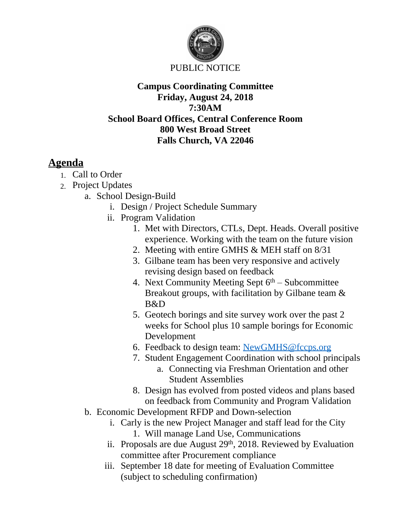

#### **Campus Coordinating Committee Friday, August 24, 2018 7:30AM School Board Offices, Central Conference Room 800 West Broad Street Falls Church, VA 22046**

# **Agenda**

- 1. Call to Order
- 2. Project Updates
	- a. School Design-Build
		- i. Design / Project Schedule Summary
		- ii. Program Validation
			- 1. Met with Directors, CTLs, Dept. Heads. Overall positive experience. Working with the team on the future vision
			- 2. Meeting with entire GMHS & MEH staff on 8/31
			- 3. Gilbane team has been very responsive and actively revising design based on feedback
			- 4. Next Community Meeting Sept  $6<sup>th</sup>$  Subcommittee Breakout groups, with facilitation by Gilbane team & B&D
			- 5. Geotech borings and site survey work over the past 2 weeks for School plus 10 sample borings for Economic Development
			- 6. Feedback to design team: [NewGMHS@fccps.org](mailto:NewGMHS@fccps.org)
			- 7. Student Engagement Coordination with school principals
				- a. Connecting via Freshman Orientation and other Student Assemblies
			- 8. Design has evolved from posted videos and plans based on feedback from Community and Program Validation
		- b. Economic Development RFDP and Down-selection
			- i. Carly is the new Project Manager and staff lead for the City
				- 1. Will manage Land Use, Communications
			- ii. Proposals are due August  $29<sup>th</sup>$ , 2018. Reviewed by Evaluation committee after Procurement compliance
			- iii. September 18 date for meeting of Evaluation Committee (subject to scheduling confirmation)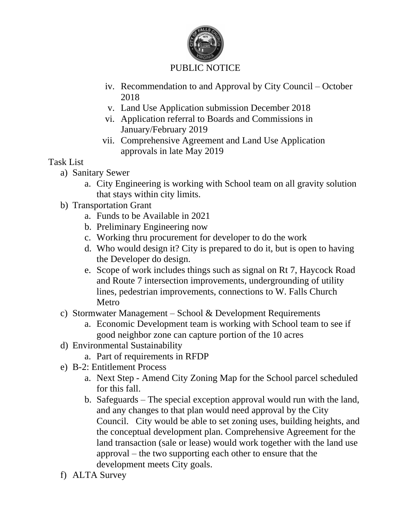

## PUBLIC NOTICE

- iv. Recommendation to and Approval by City Council October 2018
- v. Land Use Application submission December 2018
- vi. Application referral to Boards and Commissions in January/February 2019
- vii. Comprehensive Agreement and Land Use Application approvals in late May 2019

#### Task List

- a) Sanitary Sewer
	- a. City Engineering is working with School team on all gravity solution that stays within city limits.
- b) Transportation Grant
	- a. Funds to be Available in 2021
	- b. Preliminary Engineering now
	- c. Working thru procurement for developer to do the work
	- d. Who would design it? City is prepared to do it, but is open to having the Developer do design.
	- e. Scope of work includes things such as signal on Rt 7, Haycock Road and Route 7 intersection improvements, undergrounding of utility lines, pedestrian improvements, connections to W. Falls Church Metro
- c) Stormwater Management School & Development Requirements
	- a. Economic Development team is working with School team to see if good neighbor zone can capture portion of the 10 acres
- d) Environmental Sustainability
	- a. Part of requirements in RFDP
- e) B-2: Entitlement Process
	- a. Next Step Amend City Zoning Map for the School parcel scheduled for this fall.
	- b. Safeguards The special exception approval would run with the land, and any changes to that plan would need approval by the City Council. City would be able to set zoning uses, building heights, and the conceptual development plan. Comprehensive Agreement for the land transaction (sale or lease) would work together with the land use approval – the two supporting each other to ensure that the development meets City goals.
- f) ALTA Survey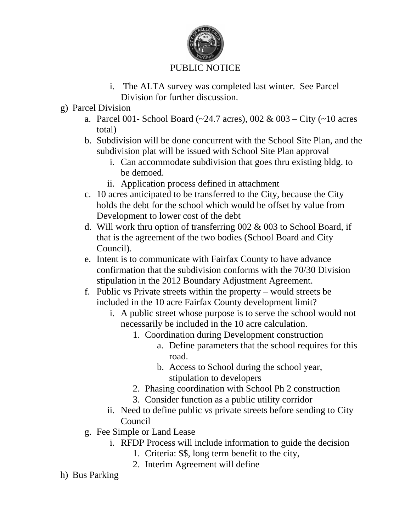

## PUBLIC NOTICE

- i. The ALTA survey was completed last winter. See Parcel Division for further discussion.
- g) Parcel Division
	- a. Parcel 001- School Board ( $\sim$ 24.7 acres), 002 & 003 City ( $\sim$ 10 acres total)
	- b. Subdivision will be done concurrent with the School Site Plan, and the subdivision plat will be issued with School Site Plan approval
		- i. Can accommodate subdivision that goes thru existing bldg. to be demoed.
		- ii. Application process defined in attachment
	- c. 10 acres anticipated to be transferred to the City, because the City holds the debt for the school which would be offset by value from Development to lower cost of the debt
	- d. Will work thru option of transferring 002 & 003 to School Board, if that is the agreement of the two bodies (School Board and City Council).
	- e. Intent is to communicate with Fairfax County to have advance confirmation that the subdivision conforms with the 70/30 Division stipulation in the 2012 Boundary Adjustment Agreement.
	- f. Public vs Private streets within the property would streets be included in the 10 acre Fairfax County development limit?
		- i. A public street whose purpose is to serve the school would not necessarily be included in the 10 acre calculation.
			- 1. Coordination during Development construction
				- a. Define parameters that the school requires for this road.
				- b. Access to School during the school year, stipulation to developers
			- 2. Phasing coordination with School Ph 2 construction
			- 3. Consider function as a public utility corridor
		- ii. Need to define public vs private streets before sending to City Council
	- g. Fee Simple or Land Lease
		- i. RFDP Process will include information to guide the decision
			- 1. Criteria: \$\$, long term benefit to the city,
			- 2. Interim Agreement will define
- h) Bus Parking